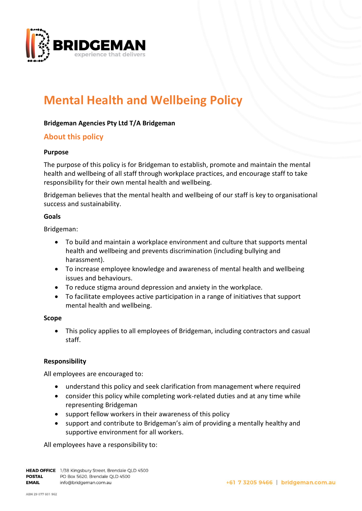

# **Mental Health and Wellbeing Policy**

## **Bridgeman Agencies Pty Ltd T/A Bridgeman**

# **About this policy**

#### **Purpose**

The purpose of this policy is for Bridgeman to establish, promote and maintain the mental health and wellbeing of all staff through workplace practices, and encourage staff to take responsibility for their own mental health and wellbeing.

Bridgeman believes that the mental health and wellbeing of our staff is key to organisational success and sustainability.

#### **Goals**

Bridgeman:

- To build and maintain a workplace environment and culture that supports mental health and wellbeing and prevents discrimination (including bullying and harassment).
- To increase employee knowledge and awareness of mental health and wellbeing issues and behaviours.
- To reduce stigma around depression and anxiety in the workplace.
- To facilitate employees active participation in a range of initiatives that support mental health and wellbeing.

#### **Scope**

• This policy applies to all employees of Bridgeman, including contractors and casual staff.

## **Responsibility**

All employees are encouraged to:

- understand this policy and seek clarification from management where required
- consider this policy while completing work-related duties and at any time while representing Bridgeman
- support fellow workers in their awareness of this policy
- support and contribute to Bridgeman's aim of providing a mentally healthy and supportive environment for all workers.

All employees have a responsibility to: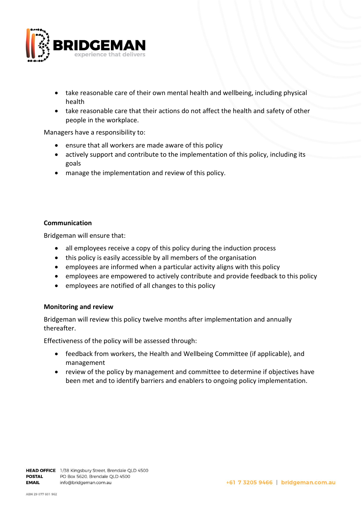

- take reasonable care of their own mental health and wellbeing, including physical health
- take reasonable care that their actions do not affect the health and safety of other people in the workplace.

Managers have a responsibility to:

- ensure that all workers are made aware of this policy
- actively support and contribute to the implementation of this policy, including its goals
- manage the implementation and review of this policy.

#### **Communication**

Bridgeman will ensure that:

- all employees receive a copy of this policy during the induction process
- this policy is easily accessible by all members of the organisation
- employees are informed when a particular activity aligns with this policy
- employees are empowered to actively contribute and provide feedback to this policy
- employees are notified of all changes to this policy

#### **Monitoring and review**

Bridgeman will review this policy twelve months after implementation and annually thereafter.

Effectiveness of the policy will be assessed through:

- feedback from workers, the Health and Wellbeing Committee (if applicable), and management
- review of the policy by management and committee to determine if objectives have been met and to identify barriers and enablers to ongoing policy implementation.